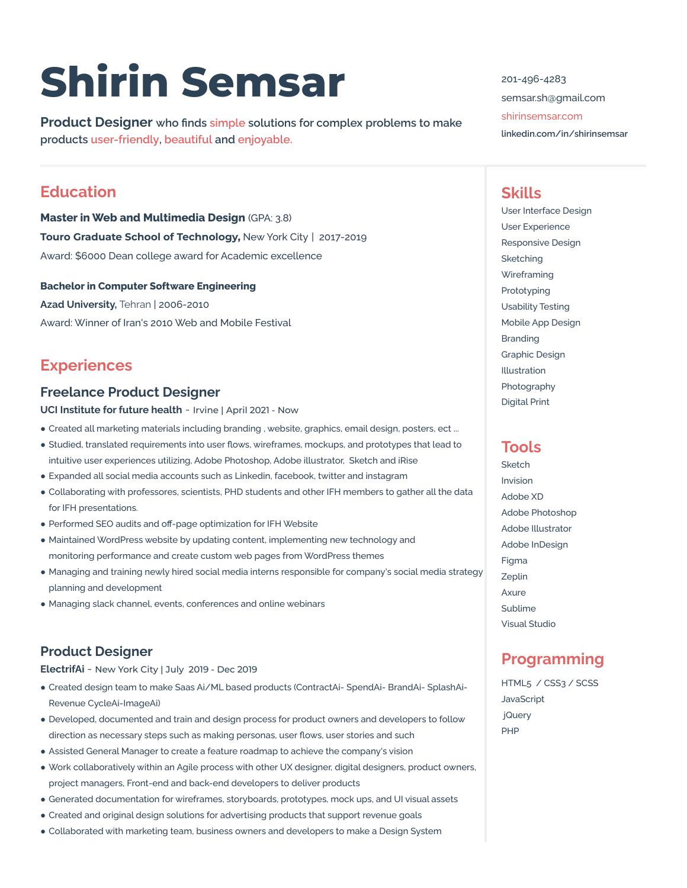# **Shirin Semsar**

**Product Designer who finds simple solutions for complex problems to make products user-friendly, beautiful and enjoyable.**

# **Education**

**Master in Web and Multimedia Design** (GPA: 3.8) **Touro Graduate School of Technology,** New York City | 2017-2019 Award: \$6000 Dean college award for Academic excellence

#### **Bachelor in Computer Software Engineering**

**Azad University,** Tehran | 2006-2010 Award: Winner of Iran's 2010 Web and Mobile Festival

# **Experiences**

#### **Freelance Product Designer**

**UCI Institute for future health** - Irvine | April 2021 - Now

- Created all marketing materials including branding, website, graphics, email design, posters, ect ...
- Studied, translated requirements into user flows, wireframes, mockups, and prototypes that lead to intuitive user experiences utilizing, Adobe Photoshop, Adobe illustrator, Sketch and iRise
- Expanded all social media accounts such as Linkedin, facebook, twitter and instagram
- Collaborating with professores, scientists, PHD students and other IFH members to gather all the data for IFH presentations.
- Performed SEO audits and off-page optimization for IFH Website
- Maintained WordPress website by updating content, implementing new technology and monitoring performance and create custom web pages from WordPress themes
- Managing and training newly hired social media interns responsible for company's social media strategy planning and development
- Managing slack channel, events, conferences and online webinars

## **Product Designer**

**[ElectrifAi](https://electrifai.net/)** - New York City | July 2019 - Dec 2019

- Created design team to make Saas Ai/ML based products (ContractAi- SpendAi- BrandAi- SplashAi-Revenue CycleAi-ImageAi)
- Developed, documented and train and design process for product owners and developers to follow direction as necessary steps such as making personas, user flows, user stories and such
- Assisted General Manager to create a feature roadmap to achieve the company's vision
- Work collaboratively within an Agile process with other UX designer, digital designers, product owners, project managers, Front-end and back-end developers to deliver products
- Generated documentation for wireframes, storyboards, prototypes, mock ups, and UI visual assets
- Created and original design solutions for advertising products that support revenue goals
- Collaborated with marketing team, business owners and developers to make a Design System

201-496-4283 semsar.sh@gmail.com [shirinsemsar.com](http://www.shirinsemsar.com)

**linkedin.com/in/shirinsemsar**

# **Skills**

User Interface Design User Experience Responsive Design Sketching **Wireframing** Prototyping Usability Testing Mobile App Design Branding Graphic Design Illustration Photography Digital Print

### **Tools**

Sketch Invision Adobe XD Adobe Photoshop Adobe Illustrator Adobe InDesign Figma Zeplin Axure Sublime Visual Studio

# **Programming**

HTML5 / CSS3 / SCSS **JavaScript** jQuery PHP